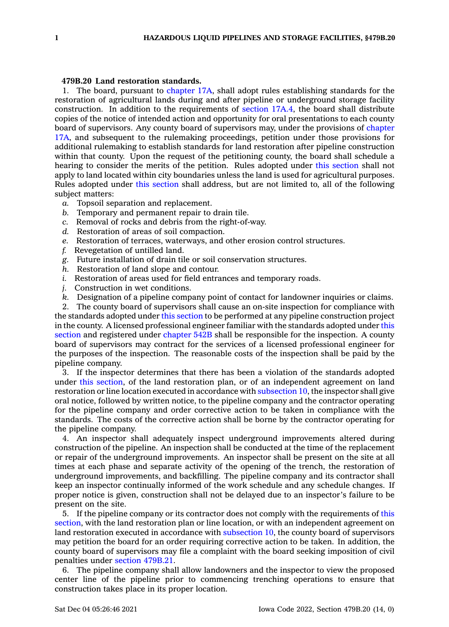## **479B.20 Land restoration standards.**

1. The board, pursuant to [chapter](https://www.legis.iowa.gov/docs/code//17A.pdf) 17A, shall adopt rules establishing standards for the restoration of agricultural lands during and after pipeline or underground storage facility construction. In addition to the requirements of [section](https://www.legis.iowa.gov/docs/code/17A.4.pdf) 17A.4, the board shall distribute copies of the notice of intended action and opportunity for oral presentations to each county board of supervisors. Any county board of supervisors may, under the provisions of [chapter](https://www.legis.iowa.gov/docs/code//17A.pdf) [17A](https://www.legis.iowa.gov/docs/code//17A.pdf), and subsequent to the rulemaking proceedings, petition under those provisions for additional rulemaking to establish standards for land restoration after pipeline construction within that county. Upon the request of the petitioning county, the board shall schedule <sup>a</sup> hearing to consider the merits of the petition. Rules adopted under this [section](https://www.legis.iowa.gov/docs/code/479B.20.pdf) shall not apply to land located within city boundaries unless the land is used for agricultural purposes. Rules adopted under this [section](https://www.legis.iowa.gov/docs/code/479B.20.pdf) shall address, but are not limited to, all of the following subject matters:

- *a.* Topsoil separation and replacement.
- *b.* Temporary and permanent repair to drain tile.
- *c.* Removal of rocks and debris from the right-of-way.
- *d.* Restoration of areas of soil compaction.
- *e.* Restoration of terraces, waterways, and other erosion control structures.
- *f.* Revegetation of untilled land.
- *g.* Future installation of drain tile or soil conservation structures.
- *h.* Restoration of land slope and contour.
- *i.* Restoration of areas used for field entrances and temporary roads.
- *j.* Construction in wet conditions.
- *k.* Designation of <sup>a</sup> pipeline company point of contact for landowner inquiries or claims.

2. The county board of supervisors shall cause an on-site inspection for compliance with the standards adopted under this [section](https://www.legis.iowa.gov/docs/code/479B.20.pdf) to be performed at any pipeline construction project in the county. A licensed professional engineer familiar with the standards adopted under [this](https://www.legis.iowa.gov/docs/code/479B.20.pdf) [section](https://www.legis.iowa.gov/docs/code/479B.20.pdf) and registered under [chapter](https://www.legis.iowa.gov/docs/code//542B.pdf) 542B shall be responsible for the inspection. A county board of supervisors may contract for the services of <sup>a</sup> licensed professional engineer for the purposes of the inspection. The reasonable costs of the inspection shall be paid by the pipeline company.

3. If the inspector determines that there has been <sup>a</sup> violation of the standards adopted under this [section](https://www.legis.iowa.gov/docs/code/479B.20.pdf), of the land restoration plan, or of an independent agreement on land restoration or line location executed in accordance with [subsection](https://www.legis.iowa.gov/docs/code/479B.20.pdf) 10, the inspector shall give oral notice, followed by written notice, to the pipeline company and the contractor operating for the pipeline company and order corrective action to be taken in compliance with the standards. The costs of the corrective action shall be borne by the contractor operating for the pipeline company.

4. An inspector shall adequately inspect underground improvements altered during construction of the pipeline. An inspection shall be conducted at the time of the replacement or repair of the underground improvements. An inspector shall be present on the site at all times at each phase and separate activity of the opening of the trench, the restoration of underground improvements, and backfilling. The pipeline company and its contractor shall keep an inspector continually informed of the work schedule and any schedule changes. If proper notice is given, construction shall not be delayed due to an inspector's failure to be present on the site.

5. If the pipeline company or its contractor does not comply with the requirements of [this](https://www.legis.iowa.gov/docs/code/479B.20.pdf) [section](https://www.legis.iowa.gov/docs/code/479B.20.pdf), with the land restoration plan or line location, or with an independent agreement on land restoration executed in accordance with [subsection](https://www.legis.iowa.gov/docs/code/479B.20.pdf) 10, the county board of supervisors may petition the board for an order requiring corrective action to be taken. In addition, the county board of supervisors may file <sup>a</sup> complaint with the board seeking imposition of civil penalties under section [479B.21](https://www.legis.iowa.gov/docs/code/479B.21.pdf).

6. The pipeline company shall allow landowners and the inspector to view the proposed center line of the pipeline prior to commencing trenching operations to ensure that construction takes place in its proper location.